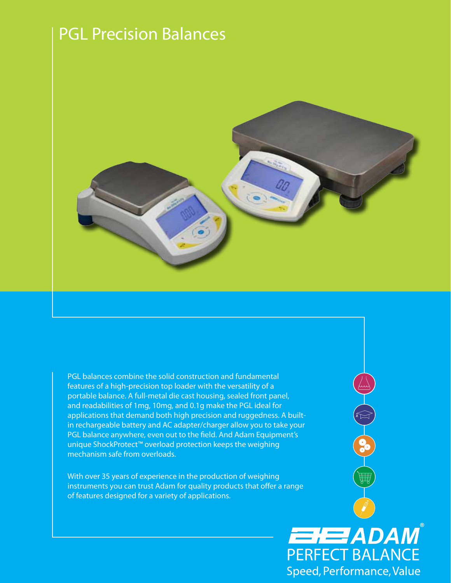# PGL Precision Balances



PGL balances combine the solid construction and fundamental features of a high-precision top loader with the versatility of a portable balance. A full-metal die cast housing, sealed front panel, and readabilities of 1mg, 10mg, and 0.1g make the PGL ideal for applications that demand both high precision and ruggedness. A builtin rechargeable battery and AC adapter/charger allow you to take your PGL balance anywhere, even out to the field. And Adam Equipment's unique ShockProtect™ overload protection keeps the weighing mechanism safe from overloads.

With over 35 years of experience in the production of weighing instruments you can trust Adam for quality products that offer a range of features designed for a variety of applications.

> EHEZADAM **PERFECT BALANCE** Speed, Performance, Value

曲